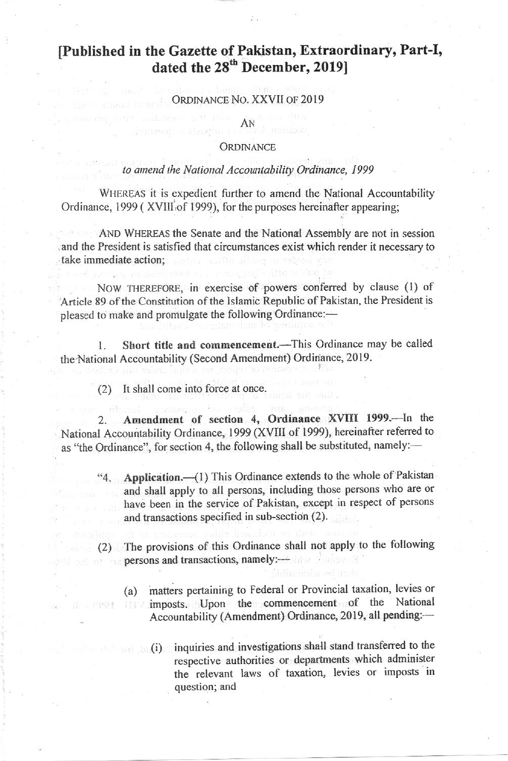# [Published in the Gazette of Pakistan, Extraordinary, Part-I, dated the 28<sup>th</sup> December, 2019]

#### ORDINANCE NO. XXVII OF 2019

#### AN

#### **ORDINANCE**

## to amend the National Accountability Ordinance, 1999

WHEREAS it is expedient further to amend the National Accountability Ordinance, 1999 (XVIII of 1999), for the purposes hereinafter appearing;

AND WHEREAS the Senate and the National Assembly are not in session and the President is satisfied that circumstances exist which render it necessary to take immediate action:

NOW THEREFORE, in exercise of powers conferred by clause (1) of Article 89 of the Constitution of the Islamic Republic of Pakistan, the President is pleased to make and promulgate the following Ordinance:-

Short title and commencement.-This Ordinance may be called  $\mathbf{L}$ the National Accountability (Second Amendment) Ordinance, 2019.

It shall come into force at once.  $(2)$ 

Amendment of section 4, Ordinance XVIII 1999.-In the  $2.$ National Accountability Ordinance, 1999 (XVIII of 1999), hereinafter referred to as "the Ordinance", for section 4, the following shall be substituted, namely:-

- "4. Application.—(1) This Ordinance extends to the whole of Pakistan and shall apply to all persons, including those persons who are or have been in the service of Pakistan, except in respect of persons and transactions specified in sub-section (2).
- (2) The provisions of this Ordinance shall not apply to the following **Example 5 persons and transactions, namely:** 
	- (a) matters pertaining to Federal or Provincial taxation, levies or imposts. Upon the commencement of the National Accountability (Amendment) Ordinance, 2019, all pending:-
		- (i) inquiries and investigations shall stand transferred to the respective authorities or departments which administer the relevant laws of taxation, levies or imposts in question; and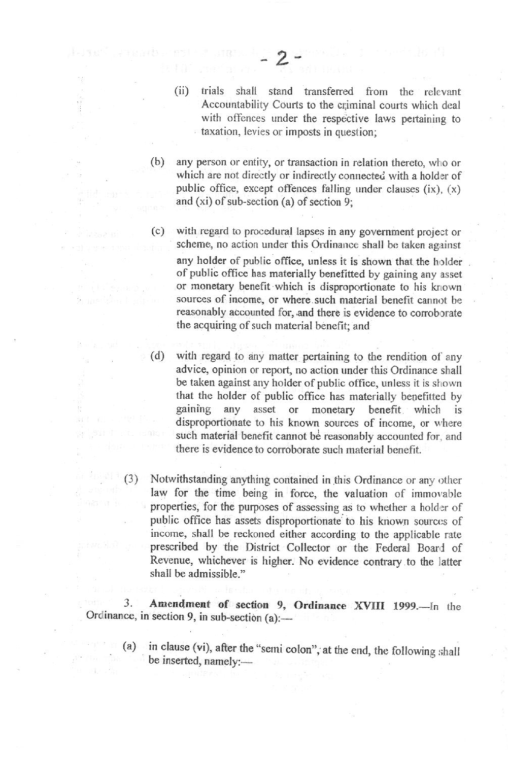$(ii)$ trials shall stand transferred from the relevant Accountability Courts to the criminal courts which deal with offences under the respective laws pertaining to taxation, levies or imposts in question;

any person or entity, or transaction in relation thereto, who or  $(b)$ which are not directly or indirectly connected with a holder of public office, except offences falling under clauses  $(ix)$ ,  $(x)$ and (xi) of sub-section (a) of section 9;

- $(c)$ with regard to procedural lapses in any government project or scheme, no action under this Ordinance shall be taken against any holder of public office, unless it is shown that the holder of public office has materially benefitted by gaining any asset or monetary benefit which is disproportionate to his known sources of income, or where such material benefit cannot be reasonably accounted for, and there is evidence to corroborate the acquiring of such material benefit; and
- $(d)$ with regard to any matter pertaining to the rendition of any advice, opinion or report, no action under this Ordinance shall be taken against any holder of public office, unless it is shown that the holder of public office has materially benefitted by gaining any asset  $\sigma$ monetary benefit which is disproportionate to his known sources of income, or where such material benefit cannot be reasonably accounted for, and there is evidence to corroborate such material benefit.
- $(3)$ Notwithstanding anything contained in this Ordinance or any other law for the time being in force, the valuation of immovable properties, for the purposes of assessing as to whether a holder of public office has assets disproportionate to his known sources of income, shall be reckoned either according to the applicable rate prescribed by the District Collector or the Federal Board of Revenue, whichever is higher. No evidence contrary to the latter shall be admissible."

Amendment of section 9, Ordinance XVIII 1999.-In the 3. Ordinance, in section 9, in sub-section (a):-

in clause (vi), after the "semi colon", at the end, the following shall  $(a)$ be inserted, namely:-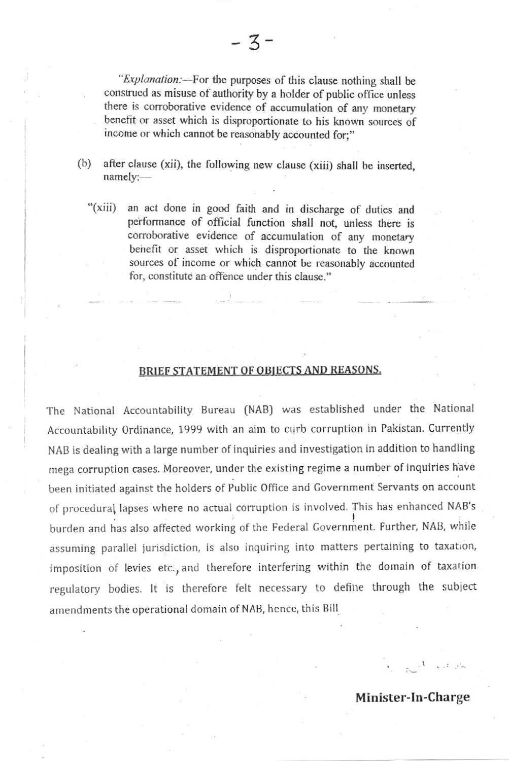"Explanation:—For the purposes of this clause nothing shall be construed as misuse of authority by a holder of public office unless there is corroborative evidence of accumulation of any monetary benefit or asset which is disproportionate to his known sources of income or which cannot be reasonably accounted for;"

- $(b)$ after clause (xii), the following new clause (xiii) shall be inserted,  $namely:$ 
	- " $(xiii)$ an act done in good faith and in discharge of duties and performance of official function shall not, unless there is corroborative evidence of accumulation of any monetary benefit or asset which is disproportionate to the known sources of income or which cannot be reasonably accounted for, constitute an offence under this clause."

## BRIEF STATEMENT OF OBJECTS AND REASONS.

The National Accountability Bureau (NAB) was established under the National Accountability Ordinance, 1999 with an aim to curb corruption in Pakistan. Currently NAB is dealing with a large number of inquiries and investigation in addition to handling mega corruption cases. Moreover, under the existing regime a number of inquiries have been initiated against the holders of Public Office and Government Servants on account of procedural lapses where no actual corruption is involved. This has enhanced NAB's burden and has also affected working of the Federal Government. Further, NAB, while assuming parallel jurisdiction, is also inquiring into matters pertaining to taxation, imposition of levies etc., and therefore interfering within the domain of taxation regulatory bodies. It is therefore felt necessary to define through the subject amendments the operational domain of NAB, hence, this Bill

Minister-In-Charge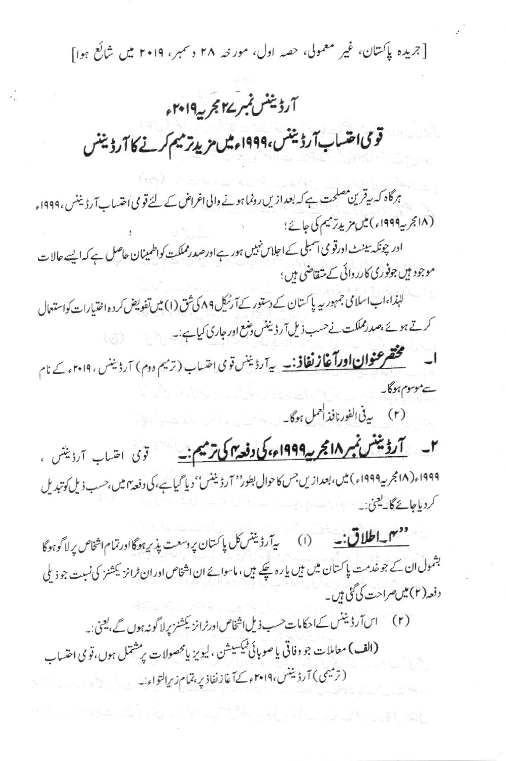[جریدہ پاکستان، غیر معمولی، حصہ اول، مورخہ ۲۸ دسمبر، ۲۰۱۹ میں شائع ہوا]

# آرڈینٹس نمبر ۲۷ مجربہ ۲۰۱۹ء

قومی احتساب آرڈیننس،۱۹۹۹ءمیں مزید ترمیم کرنے کا آرڈیننس

ہرگاہ کہ بیقرین مصلحت ہے کہ بعدازیں رونما ہونے والی اغراض کے لئے قومی اختساب آرڈیننس ،۱۹۹۹ء (١٨) مجر په ١٩٩٩ء) ميں مزيد ترميم کی جائے؛

ادر چونکہ بینٹ اورقو می آسبلی کے اجلاس نہیں ہور ہے اورصدرمملکت کواظمینان حاصل ہے کہ ایسے حالا ت موجود ہیں جوفوری کارروائی کے متقاضی ہیں؛

لنبذا،اباسلامی جمہور بیہ پاکستان کے دستور کے آرٹیکل ۸۹ کی ثق (۱) میں تفویض کردہ اختیارات کواستعمال کرتے ہوئے ،صدرمملکت نے حسب ذیل آرڈینٹس دہنع اور جاری کیاہے:۔

**ا۔ مختصر عنوان اورآغاز نفاذ** نیے آرڈینس توی اضیاب (ترمیم دوم) آرڈینس ، ۲۰۱۹ء کے نام ےموسوم ہوگا۔

(۲) بي<sup>ق الفور</sup>نافذ العمل ہوگا۔

۱۹۹۹ء( ۱۸ مجر بیه۱۹۹۹ء ) میں، بعدازیں جس کا حوال بطور'' آرڈیننس'' دیا گیا ہے، کی دفعہ ہیں،حسب ذیل کوتبدیل کردیاجائے گا۔<u>کیجن:</u>۔

بشمول ان کے جوخدمت پاکستان میں بیں یا رہ چکے ہیں، ماسوائے ان اشخاص اور ان ٹرانز کیشنز کی نسبت جو ذیلی دفعہ (۲)میں صراحت کی گئی ہیں۔

(۲) اس آرڈینٹس کے احکامات حسب ذیل اشخاص اورٹرائز یکشنز پرلا گونہ ہوں گے ،کیعنی:۔

(الف) معاملات جو دفاتی یا صوبائی کمیکسیشن ،لیویز پامحصولات پرمشتل ہوں،قومی احتساب ( ترمیمی ) آرڈیننس،۲۰۱۹ء کے آغاز نفاذ پر ،تمام زیر التواء نہ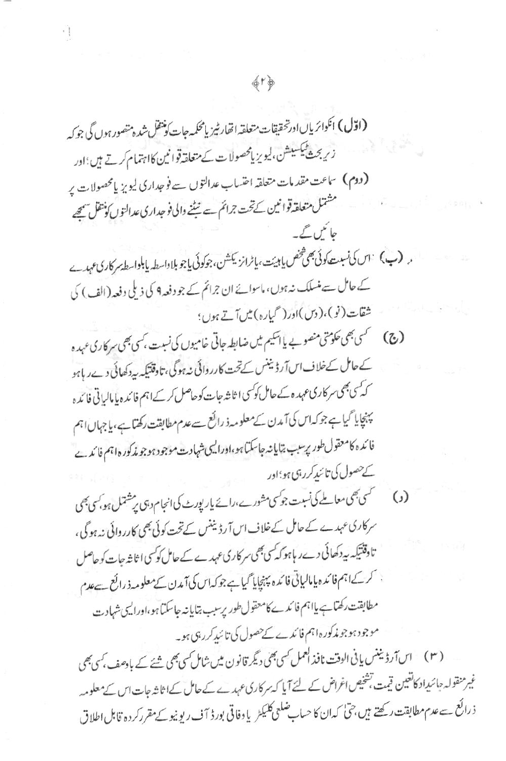(اوّل) انگوائریاںادرخقیقات متعلقہ اتھارٹیزیامحکمہ جات کونتقل شدہ متصور ہوں گی جو کہ زیر بحث کمیکسیش، لیویز پامحصولات کے متعلقہ قوانین کااہتمام کرتے ہیں؛اور (دوم) ساعت مقدمات متعلقہ احتساب عدالتوں سے فوجداری لیویز پامحصولات پر مشتمل متعلقه قواننين كےتخت جرائم سے نیٹنے والی فو جداری عدالتوں کو متقل سمجھے حائمن گے۔ و (ب) اس کی نسبت کوئی بھی مخض یابیّت، یا ٹرانز یکشن، جوکوئی یاجو بلاواسط یابلواسط پر کاری عہدے کے حامل سے منسلک نہ ہوں، ماسوائے ان جرائم کے جو دفعہ 9 کی ذیلی دفعہ (الف) کی شقات (نو)، (دس)اور( گیاره) میںآتے ہوں؛ (ج) گريمي حکومتي منصوبے يا ایکيم میں ضابطہ جاتي خامیوں کی نسبت ،کسی بھی سر کاری عہدہ کے حامل کےخلاف اس آرڈیننس کے تحت کارروائی نہ ہوگی، تاوقتیکہ بیددکھائی دےر ہاہو کہ کسی بھی سر کاری عہدہ کے حامل کوکسی اثاثہ جات کوحاصل کر کے اہم فائدہ پا مالیاتی فائدہ پہنچایا گیا ہے جو کہ اس کی آمدن کے معلومہ ذ رائع سے عدم مطابقت رکھتا ہے، یا جہاں اہم فائده كامعقول طور يرسبب يتايا نه جاسكتا ہو،اوراليپ شہادت موجود ہو جو مذكور ہ اہم فائدے <sub>کے حصول کی تائند کررہی ہو؛اور</sub> (و) مستحمی معاملے کی نسبت جو کسی مشورے،رائے یار پورٹ کی انجام دہی پر مشتمل ہو، کسی بھی سرکاری عہدے کے حامل کے خلاف اس آرڈینٹس کے تحت کوئی بھی کارروائی نہ ہوگی، تاوقتیکہ بیددکھائی دےر ہاہوکہ کسی بھی سرکاری عہدے کے حامل کوکسی اثاثہ جات کو حاصل ، کرکے اہم فائدہ پامالیاتی فائدہ پہنچایا گیا ہے جوکہاس کی آمدن کے معلومہ ذرائع ہےعدم مطابقت رکھتاہے پااہم فائدے کامعقول طور پرسب بتایانہ جاسکتا ہو،اورالیپی شہادت موجود ہوجو مذکورہاہم فائدے کےحصول کی تائبدکررہی ہو۔

( ۳ ) اس آرڈیننس پانی الوقت نافذ العمل کسی بھی دیگر قانون میں شامل کسی بھی شئے کے بادھف کسی بھی غیر منقولہ جائیداد کانغیین قیمت تشخیص اغراض کے لئے آیا کہ سرکاری عہدے کے حامل کے اثاثہ جات اس کے معلومہ ذ رائع <sub>سے ع</sub>رم مطابقت رکھتے ہیں،حیٰ کہ ان کا حسابِ ضلعی کلیکٹر یا دفاقی بورڈ آف ریونیو کے مقرر کردہ قابل اطلاق